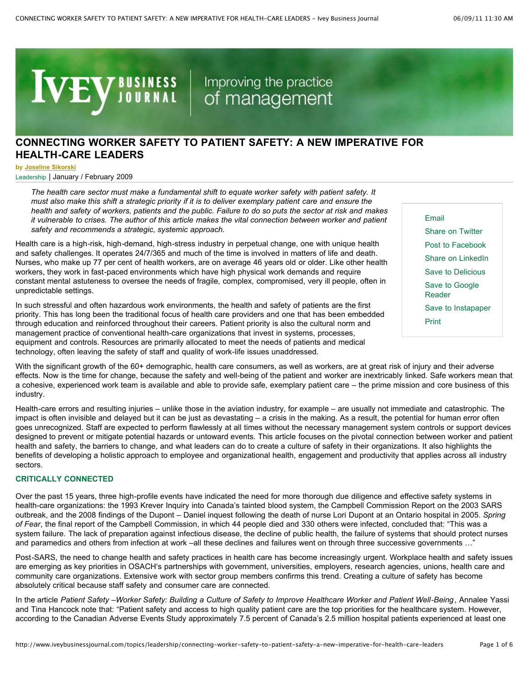**IVEY JOURNAL** | Improving the practice

# **[CONNECTING](http://www.iveybusinessjournal.com/) WORKER SAFETY TO PATIENT SAFETY: A NEW IMPERATIVE FOR HEALTH-CARE LEADERS**

**by [Joseline](http://www.iveybusinessjournal.com/author/jsikorski) Sikorski**

Leadership | January / [February](http://www.iveybusinessjournal.com/the_post_issue/january-february-2009) 2009

*The health care sector must make a fundamental shift to equate worker safety with patient safety. It* must also make this shift a strategic priority if it is to deliver exemplary patient care and ensure the health and safety of workers, patients and the public. Failure to do so puts the sector at risk and makes *it vulnerable to crises. The author of this article makes the vital connection between worker and patient safety and recommends a strategic, systemic approach.*

Health care is a high-risk, high-demand, high-stress industry in perpetual change, one with unique health and safety challenges. It operates 24/7/365 and much of the time is involved in matters of life and death. Nurses, who make up 77 per cent of health workers, are on average 46 years old or older. Like other health workers, they work in fast-paced environments which have high physical work demands and require constant mental astuteness to oversee the needs of fragile, complex, compromised, very ill people, often in unpredictable settings.

In such stressful and often hazardous work environments, the health and safety of patients are the first priority. This has long been the traditional focus of health care providers and one that has been embedded through education and reinforced throughout their careers. Patient priority is also the cultural norm and management practice of conventional health-care organizations that invest in systems, processes, equipment and controls. Resources are primarily allocated to meet the needs of patients and medical technology, often leaving the safety of staff and quality of work-life issues unaddressed.

With the significant growth of the 60+ demographic, health care consumers, as well as workers, are at great risk of injury and their adverse effects. Now is the time for change, because the safety and well-being of the patient and worker are inextricably linked. Safe workers mean that a cohesive, experienced work team is available and able to provide safe, exemplary patient care – the prime mission and core business of this industry.

Health-care errors and resulting injuries – unlike those in the aviation industry, for example – are usually not immediate and catastrophic. The impact is often invisible and delayed but it can be just as devastating – a crisis in the making. As a result, the potential for human error often goes unrecognized. Staff are expected to perform flawlessly at all times without the necessary management system controls or support devices designed to prevent or mitigate potential hazards or untoward events. This article focuses on the pivotal connection between worker and patient health and safety, the barriers to change, and what leaders can do to create a culture of safety in their organizations. It also highlights the benefits of developing a holistic approach to employee and organizational health, engagement and productivity that applies across all industry sectors.

### **CRITICALLY CONNECTED**

Over the past 15 years, three high-profile events have indicated the need for more thorough due diligence and effective safety systems in health-care organizations: the 1993 Krever Inquiry into Canada's tainted blood system, the Campbell Commission Report on the 2003 SARS outbreak, and the 2008 findings of the Dupont – Daniel inquest following the death of nurse Lori Dupont at an Ontario hospital in 2005. *Spring of Fear*, the final report of the Campbell Commission, in which 44 people died and 330 others were infected, concluded that: "This was a system failure. The lack of preparation against infectious disease, the decline of public health, the failure of systems that should protect nurses and paramedics and others from infection at work –all these declines and failures went on through three successive governments …"

Post-SARS, the need to change health and safety practices in health care has become increasingly urgent. Workplace health and safety issues are emerging as key priorities in OSACH's partnerships with government, universities, employers, research agencies, unions, health care and community care organizations. Extensive work with sector group members confirms this trend. Creating a culture of safety has become absolutely critical because staff safety and consumer care are connected.

In the article Patient Safety -Worker Safety: Building a Culture of Safety to Improve Healthcare Worker and Patient Well-Being, Annalee Yassi and Tina Hancock note that: "Patient safety and access to high quality patient care are the top priorities for the healthcare system. However, according to the Canadian Adverse Events Study approximately 7.5 percent of Canada's 2.5 million hospital patients experienced at least one

Post to Facebook Share on LinkedIn Save to Delicious Save to Google Reader Save to Instapaper Print

Share on Twitter

Email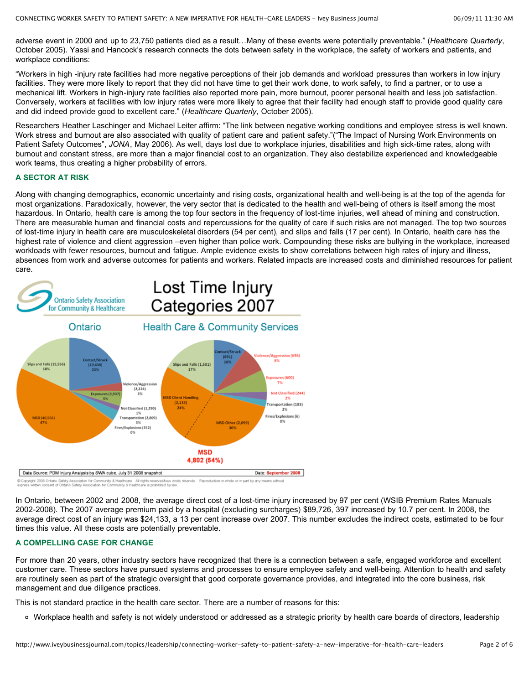adverse event in 2000 and up to 23,750 patients died as a result…Many of these events were potentially preventable." (*Healthcare Quarterly*, October 2005). Yassi and Hancock's research connects the dots between safety in the workplace, the safety of workers and patients, and workplace conditions:

"Workers in high -injury rate facilities had more negative perceptions of their job demands and workload pressures than workers in low injury facilities. They were more likely to report that they did not have time to get their work done, to work safely, to find a partner, or to use a mechanical lift. Workers in high-injury rate facilities also reported more pain, more burnout, poorer personal health and less job satisfaction. Conversely, workers at facilities with low injury rates were more likely to agree that their facility had enough staff to provide good quality care and did indeed provide good to excellent care." (*Healthcare Quarterly*, October 2005).

Researchers Heather Laschinger and Michael Leiter affirm: "The link between negative working conditions and employee stress is well known. Work stress and burnout are also associated with quality of patient care and patient safety."("The Impact of Nursing Work Environments on Patient Safety Outcomes", *JONA*, May 2006). As well, days lost due to workplace injuries, disabilities and high sick-time rates, along with burnout and constant stress, are more than a major financial cost to an organization. They also destabilize experienced and knowledgeable work teams, thus creating a higher probability of errors.

#### **A SECTOR AT RISK**

Along with changing demographics, economic uncertainty and rising costs, organizational health and well-being is at the top of the agenda for most organizations. Paradoxically, however, the very sector that is dedicated to the health and well-being of others is itself among the most hazardous. In Ontario, health care is among the top four sectors in the frequency of lost-time injuries, well ahead of mining and construction. There are measurable human and financial costs and repercussions for the quality of care if such risks are not managed. The top two sources of lost-time injury in health care are musculoskeletal disorders (54 per cent), and slips and falls (17 per cent). In Ontario, health care has the highest rate of violence and client aggression –even higher than police work. Compounding these risks are bullying in the workplace, increased workloads with fewer resources, burnout and fatigue. Ample evidence exists to show correlations between high rates of injury and illness, absences from work and adverse outcomes for patients and workers. Related impacts are increased costs and diminished resources for patient care.



In Ontario, between 2002 and 2008, the average direct cost of a lost-time injury increased by 97 per cent (WSIB Premium Rates Manuals 2002-2008). The 2007 average premium paid by a hospital (excluding surcharges) \$89,726, 397 increased by 10.7 per cent. In 2008, the average direct cost of an injury was \$24,133, a 13 per cent increase over 2007. This number excludes the indirect costs, estimated to be four times this value. All these costs are potentially preventable.

## **A COMPELLING CASE FOR CHANGE**

For more than 20 years, other industry sectors have recognized that there is a connection between a safe, engaged workforce and excellent customer care. These sectors have pursued systems and processes to ensure employee safety and well-being. Attention to health and safety are routinely seen as part of the strategic oversight that good corporate governance provides, and integrated into the core business, risk management and due diligence practices.

This is not standard practice in the health care sector. There are a number of reasons for this:

Workplace health and safety is not widely understood or addressed as a strategic priority by health care boards of directors, leadership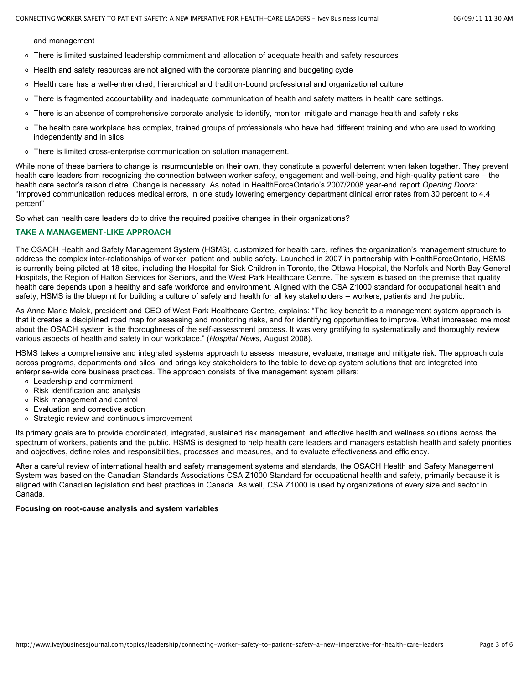and management

- There is limited sustained leadership commitment and allocation of adequate health and safety resources
- Health and safety resources are not aligned with the corporate planning and budgeting cycle
- o Health care has a well-entrenched, hierarchical and tradition-bound professional and organizational culture
- There is fragmented accountability and inadequate communication of health and safety matters in health care settings.  $\circ$
- There is an absence of comprehensive corporate analysis to identify, monitor, mitigate and manage health and safety risks
- The health care workplace has complex, trained groups of professionals who have had different training and who are used to working  $\circ$ independently and in silos
- There is limited cross-enterprise communication on solution management.

While none of these barriers to change is insurmountable on their own, they constitute a powerful deterrent when taken together. They prevent health care leaders from recognizing the connection between worker safety, engagement and well-being, and high-quality patient care – the health care sector's raison d'etre. Change is necessary. As noted in HealthForceOntario's 2007/2008 year-end report *Opening Doors*: "Improved communication reduces medical errors, in one study lowering emergency department clinical error rates from 30 percent to 4.4 percent"

So what can health care leaders do to drive the required positive changes in their organizations?

#### **TAKE A MANAGEMENT-LIKE APPROACH**

The OSACH Health and Safety Management System (HSMS), customized for health care, refines the organization's management structure to address the complex inter-relationships of worker, patient and public safety. Launched in 2007 in partnership with HealthForceOntario, HSMS is currently being piloted at 18 sites, including the Hospital for Sick Children in Toronto, the Ottawa Hospital, the Norfolk and North Bay General Hospitals, the Region of Halton Services for Seniors, and the West Park Healthcare Centre. The system is based on the premise that quality health care depends upon a healthy and safe workforce and environment. Aligned with the CSA Z1000 standard for occupational health and safety, HSMS is the blueprint for building a culture of safety and health for all key stakeholders – workers, patients and the public.

As Anne Marie Malek, president and CEO of West Park Healthcare Centre, explains: "The key benefit to a management system approach is that it creates a disciplined road map for assessing and monitoring risks, and for identifying opportunities to improve. What impressed me most about the OSACH system is the thoroughness of the self-assessment process. It was very gratifying to systematically and thoroughly review various aspects of health and safety in our workplace." (*Hospital News*, August 2008).

HSMS takes a comprehensive and integrated systems approach to assess, measure, evaluate, manage and mitigate risk. The approach cuts across programs, departments and silos, and brings key stakeholders to the table to develop system solutions that are integrated into enterprise-wide core business practices. The approach consists of five management system pillars:

- Leadership and commitment
- Risk identification and analysis
- Risk management and control
- Evaluation and corrective action
- o Strategic review and continuous improvement

Its primary goals are to provide coordinated, integrated, sustained risk management, and effective health and wellness solutions across the spectrum of workers, patients and the public. HSMS is designed to help health care leaders and managers establish health and safety priorities and objectives, define roles and responsibilities, processes and measures, and to evaluate effectiveness and efficiency.

After a careful review of international health and safety management systems and standards, the OSACH Health and Safety Management System was based on the Canadian Standards Associations CSA Z1000 Standard for occupational health and safety, primarily because it is aligned with Canadian legislation and best practices in Canada. As well, CSA Z1000 is used by organizations of every size and sector in Canada.

#### **Focusing on root-cause analysis and system variables**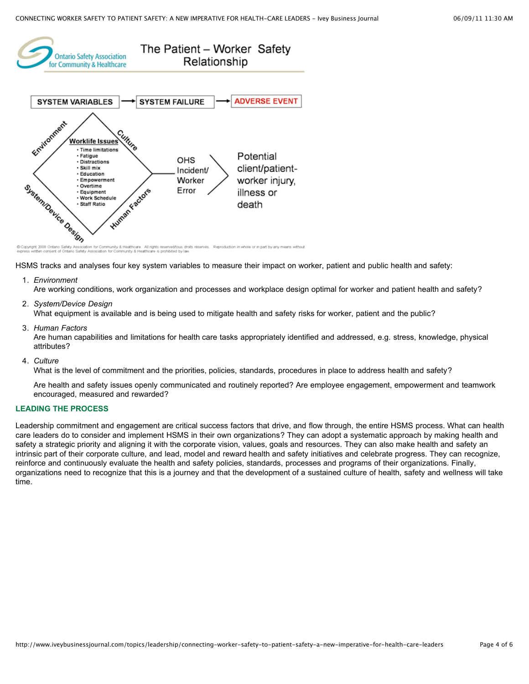

Copyright 2008 Onta droits réservés. Reproduction in whole or in part by any means without ommunity & Healthcare. All rights reserved/tous dr<br>on for Community & Healthcare is prohibited by lav

HSMS tracks and analyses four key system variables to measure their impact on worker, patient and public health and safety:

1. *Environment*

Are working conditions, work organization and processes and workplace design optimal for worker and patient health and safety?

2. *System/Device Design*

What equipment is available and is being used to mitigate health and safety risks for worker, patient and the public?

3. *Human Factors*

Are human capabilities and limitations for health care tasks appropriately identified and addressed, e.g. stress, knowledge, physical attributes?

4. *Culture*

What is the level of commitment and the priorities, policies, standards, procedures in place to address health and safety?

Are health and safety issues openly communicated and routinely reported? Are employee engagement, empowerment and teamwork encouraged, measured and rewarded?

# **LEADING THE PROCESS**

Leadership commitment and engagement are critical success factors that drive, and flow through, the entire HSMS process. What can health care leaders do to consider and implement HSMS in their own organizations? They can adopt a systematic approach by making health and safety a strategic priority and aligning it with the corporate vision, values, goals and resources. They can also make health and safety an intrinsic part of their corporate culture, and lead, model and reward health and safety initiatives and celebrate progress. They can recognize, reinforce and continuously evaluate the health and safety policies, standards, processes and programs of their organizations. Finally, organizations need to recognize that this is a journey and that the development of a sustained culture of health, safety and wellness will take time.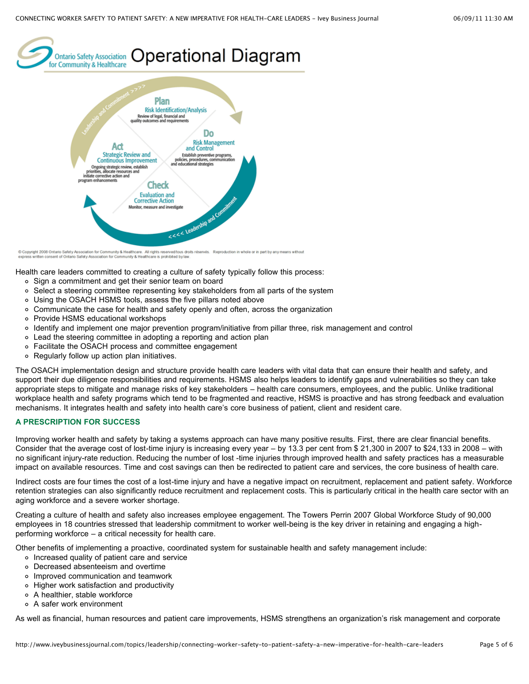



© Copyright 2008 Ontario Safety Association for Community & Healthcare. All rights reserved/tous droits reservés. Reproduction in whole or in part by any means without<br>express written consent of Ontario Safety Association

Health care leaders committed to creating a culture of safety typically follow this process:

- o Sign a commitment and get their senior team on board
- o Select a steering committee representing key stakeholders from all parts of the system
- Using the OSACH HSMS tools, assess the five pillars noted above
- Communicate the case for health and safety openly and often, across the organization
- o Provide HSMS educational workshops
- Identify and implement one major prevention program/initiative from pillar three, risk management and control
- Lead the steering committee in adopting a reporting and action plan
- Facilitate the OSACH process and committee engagement
- Regularly follow up action plan initiatives.

The OSACH implementation design and structure provide health care leaders with vital data that can ensure their health and safety, and support their due diligence responsibilities and requirements. HSMS also helps leaders to identify gaps and vulnerabilities so they can take appropriate steps to mitigate and manage risks of key stakeholders – health care consumers, employees, and the public. Unlike traditional workplace health and safety programs which tend to be fragmented and reactive, HSMS is proactive and has strong feedback and evaluation mechanisms. It integrates health and safety into health care's core business of patient, client and resident care.

# **A PRESCRIPTION FOR SUCCESS**

Improving worker health and safety by taking a systems approach can have many positive results. First, there are clear financial benefits. Consider that the average cost of lost-time injury is increasing every year – by 13.3 per cent from \$ 21,300 in 2007 to \$24,133 in 2008 – with no significant injury-rate reduction. Reducing the number of lost -time injuries through improved health and safety practices has a measurable impact on available resources. Time and cost savings can then be redirected to patient care and services, the core business of health care.

Indirect costs are four times the cost of a lost-time injury and have a negative impact on recruitment, replacement and patient safety. Workforce retention strategies can also significantly reduce recruitment and replacement costs. This is particularly critical in the health care sector with an aging workforce and a severe worker shortage.

Creating a culture of health and safety also increases employee engagement. The Towers Perrin 2007 Global Workforce Study of 90,000 employees in 18 countries stressed that leadership commitment to worker well-being is the key driver in retaining and engaging a highperforming workforce – a critical necessity for health care.

Other benefits of implementing a proactive, coordinated system for sustainable health and safety management include:

- o Increased quality of patient care and service
- Decreased absenteeism and overtime
- Improved communication and teamwork
- Higher work satisfaction and productivity
- A healthier, stable workforce
- A safer work environment

As well as financial, human resources and patient care improvements, HSMS strengthens an organization's risk management and corporate